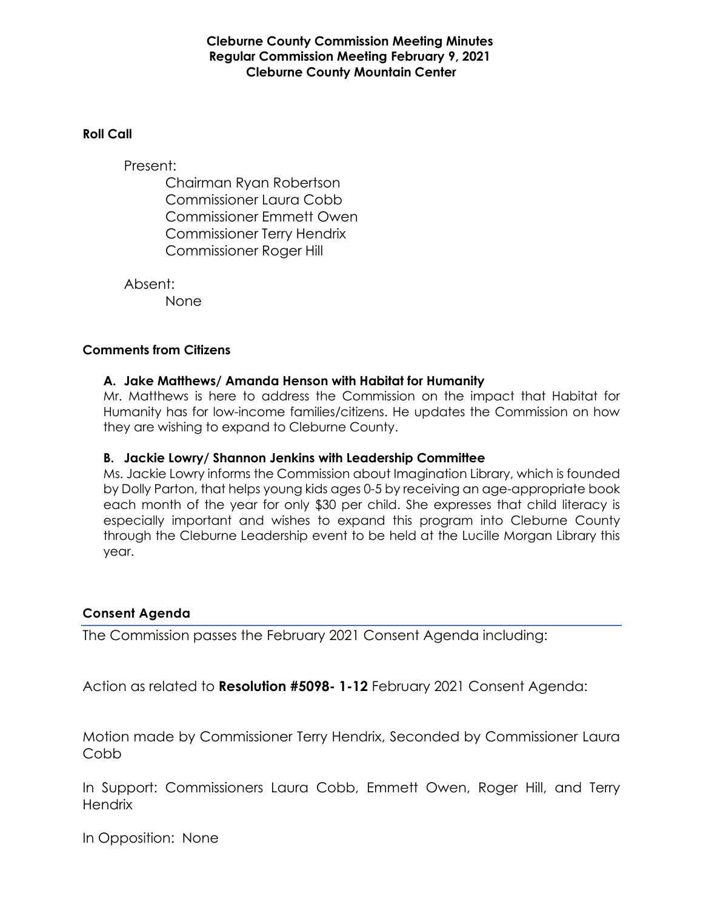### **Cleburne County Commission Meeting Minutes Regular Commission Meeting February 9, 2021 Cleburne County Mountain Center**

#### **Roll Call**

Present:

Chairman Ryan Robertson Commissioner Laura Cobb Commissioner Emmett Owen Commissioner Terry Hendrix Commissioner Roger Hill

Absent:

None

### **Comments from Citizens**

### **A. Jake Matthews/ Amanda Henson with Habitat for Humanity**

Mr. Matthews is here to address the Commission on the impact that Habitat for Humanity has for low-income families/citizens. He updates the Commission on how they are wishing to expand to Cleburne County.

#### **B. Jackie Lowry/ Shannon Jenkins with Leadership Committee**

Ms. Jackie Lowry informs the Commission about Imagination Library, which is founded by Dolly Parton, that helps young kids ages 0-5 by receiving an age-appropriate book each month of the year for only \$30 per child. She expresses that child literacy is especially important and wishes to expand this program into Cleburne County through the Cleburne Leadership event to be held at the Lucille Morgan Library this year.

### **Consent Agenda**

The Commission passes the February 2021 Consent Agenda including:

Action as related to **Resolution #5098- 1-12** February 2021 Consent Agenda:

Motion made by Commissioner Terry Hendrix, Seconded by Commissioner Laura Cobb

In Support: Commissioners Laura Cobb, Emmett Owen, Roger Hill, and Terry **Hendrix** 

In Opposition: None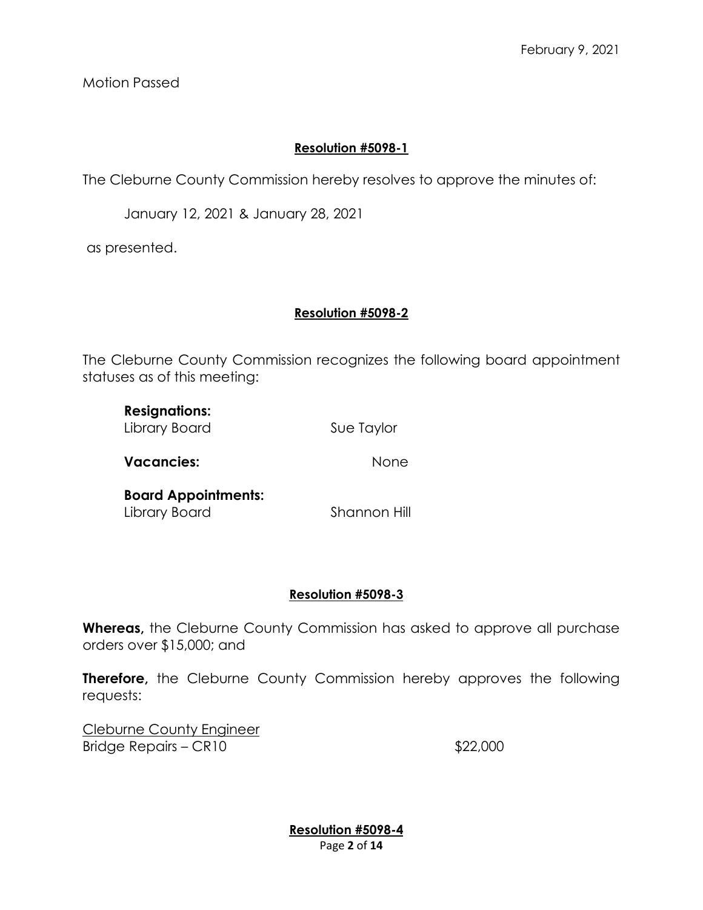Motion Passed

## **Resolution #5098-1**

The Cleburne County Commission hereby resolves to approve the minutes of:

January 12, 2021 & January 28, 2021

as presented.

## **Resolution #5098-2**

The Cleburne County Commission recognizes the following board appointment statuses as of this meeting:

| <b>Resignations:</b><br>Library Board       | Sue Taylor   |
|---------------------------------------------|--------------|
| <b>Vacancies:</b>                           | None         |
| <b>Board Appointments:</b><br>Library Board | Shannon Hill |

## **Resolution #5098-3**

**Whereas,** the Cleburne County Commission has asked to approve all purchase orders over \$15,000; and

**Therefore,** the Cleburne County Commission hereby approves the following requests:

Cleburne County Engineer Bridge Repairs – CR10 \$22,000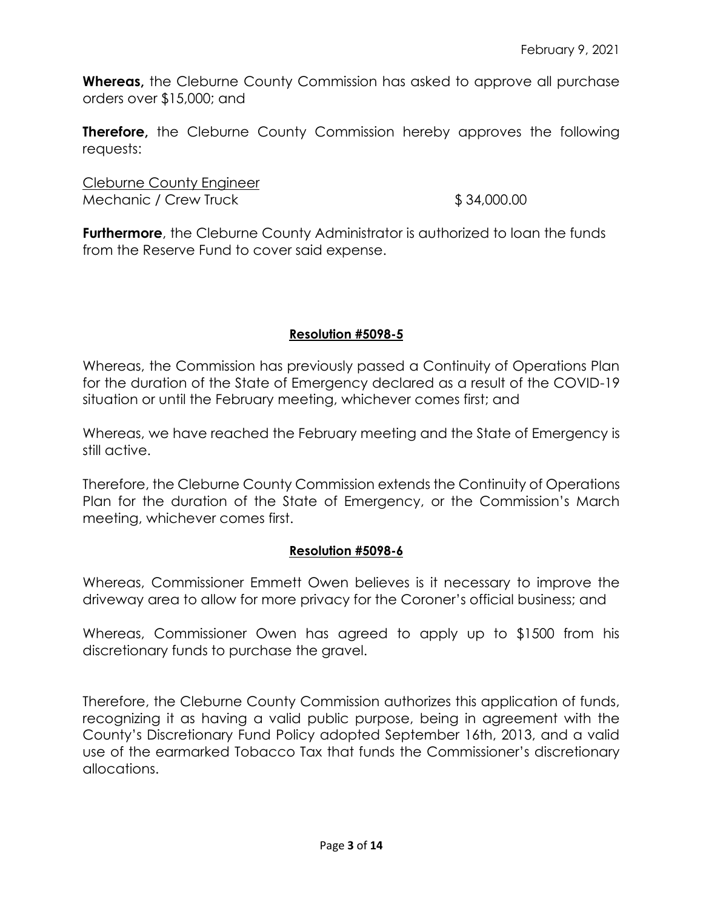**Whereas,** the Cleburne County Commission has asked to approve all purchase orders over \$15,000; and

**Therefore,** the Cleburne County Commission hereby approves the following requests:

Cleburne County Engineer Mechanic / Crew Truck  $$34,000.00$ 

**Furthermore**, the Cleburne County Administrator is authorized to loan the funds from the Reserve Fund to cover said expense.

## **Resolution #5098-5**

Whereas, the Commission has previously passed a Continuity of Operations Plan for the duration of the State of Emergency declared as a result of the COVID-19 situation or until the February meeting, whichever comes first; and

Whereas, we have reached the February meeting and the State of Emergency is still active.

Therefore, the Cleburne County Commission extends the Continuity of Operations Plan for the duration of the State of Emergency, or the Commission's March meeting, whichever comes first.

### **Resolution #5098-6**

Whereas, Commissioner Emmett Owen believes is it necessary to improve the driveway area to allow for more privacy for the Coroner's official business; and

Whereas, Commissioner Owen has agreed to apply up to \$1500 from his discretionary funds to purchase the gravel.

Therefore, the Cleburne County Commission authorizes this application of funds, recognizing it as having a valid public purpose, being in agreement with the County's Discretionary Fund Policy adopted September 16th, 2013, and a valid use of the earmarked Tobacco Tax that funds the Commissioner's discretionary allocations.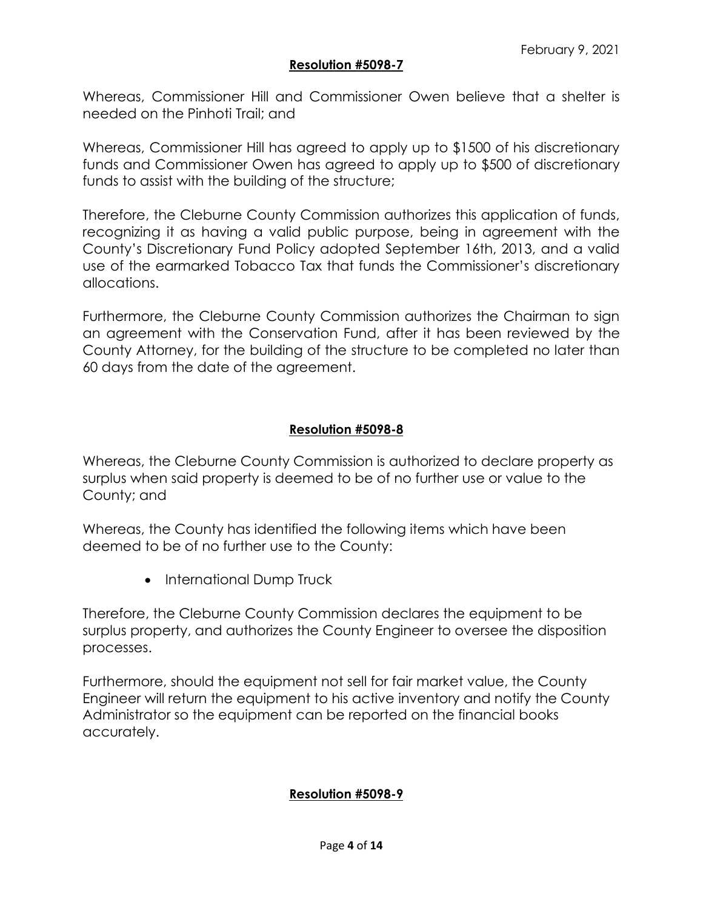### **Resolution #5098-7**

Whereas, Commissioner Hill and Commissioner Owen believe that a shelter is needed on the Pinhoti Trail; and

Whereas, Commissioner Hill has agreed to apply up to \$1500 of his discretionary funds and Commissioner Owen has agreed to apply up to \$500 of discretionary funds to assist with the building of the structure;

Therefore, the Cleburne County Commission authorizes this application of funds, recognizing it as having a valid public purpose, being in agreement with the County's Discretionary Fund Policy adopted September 16th, 2013, and a valid use of the earmarked Tobacco Tax that funds the Commissioner's discretionary allocations.

Furthermore, the Cleburne County Commission authorizes the Chairman to sign an agreement with the Conservation Fund, after it has been reviewed by the County Attorney, for the building of the structure to be completed no later than 60 days from the date of the agreement.

## **Resolution #5098-8**

Whereas, the Cleburne County Commission is authorized to declare property as surplus when said property is deemed to be of no further use or value to the County; and

Whereas, the County has identified the following items which have been deemed to be of no further use to the County:

• International Dump Truck

Therefore, the Cleburne County Commission declares the equipment to be surplus property, and authorizes the County Engineer to oversee the disposition processes.

Furthermore, should the equipment not sell for fair market value, the County Engineer will return the equipment to his active inventory and notify the County Administrator so the equipment can be reported on the financial books accurately.

### **Resolution #5098-9**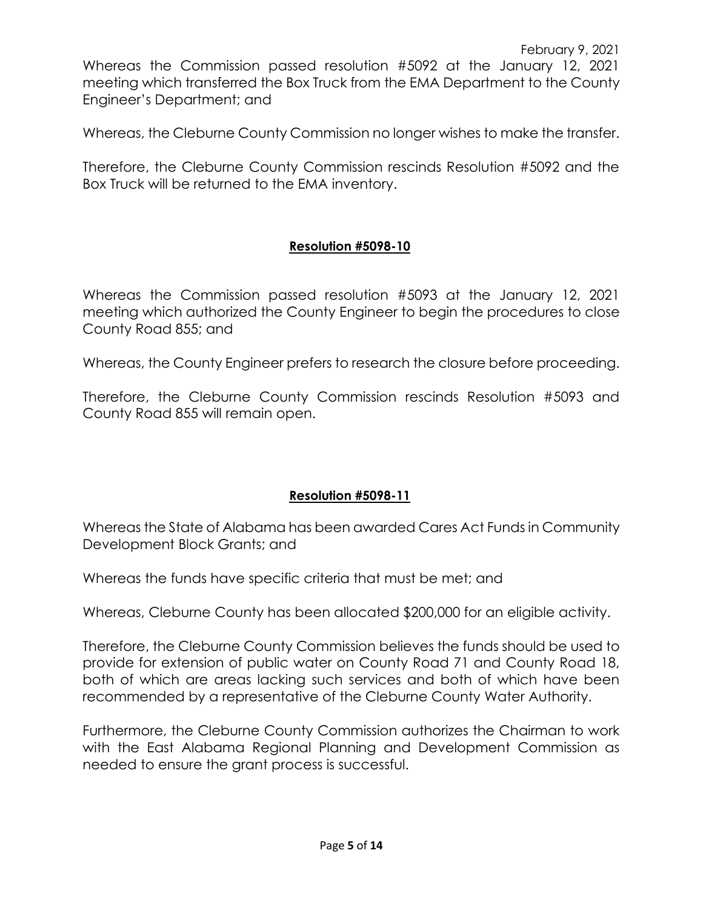Whereas the Commission passed resolution #5092 at the January 12, 2021 meeting which transferred the Box Truck from the EMA Department to the County Engineer's Department; and

Whereas, the Cleburne County Commission no longer wishes to make the transfer.

Therefore, the Cleburne County Commission rescinds Resolution #5092 and the Box Truck will be returned to the EMA inventory.

### **Resolution #5098-10**

Whereas the Commission passed resolution #5093 at the January 12, 2021 meeting which authorized the County Engineer to begin the procedures to close County Road 855; and

Whereas, the County Engineer prefers to research the closure before proceeding.

Therefore, the Cleburne County Commission rescinds Resolution #5093 and County Road 855 will remain open.

### **Resolution #5098-11**

Whereas the State of Alabama has been awarded Cares Act Funds in Community Development Block Grants; and

Whereas the funds have specific criteria that must be met; and

Whereas, Cleburne County has been allocated \$200,000 for an eligible activity.

Therefore, the Cleburne County Commission believes the funds should be used to provide for extension of public water on County Road 71 and County Road 18, both of which are areas lacking such services and both of which have been recommended by a representative of the Cleburne County Water Authority.

Furthermore, the Cleburne County Commission authorizes the Chairman to work with the East Alabama Regional Planning and Development Commission as needed to ensure the grant process is successful.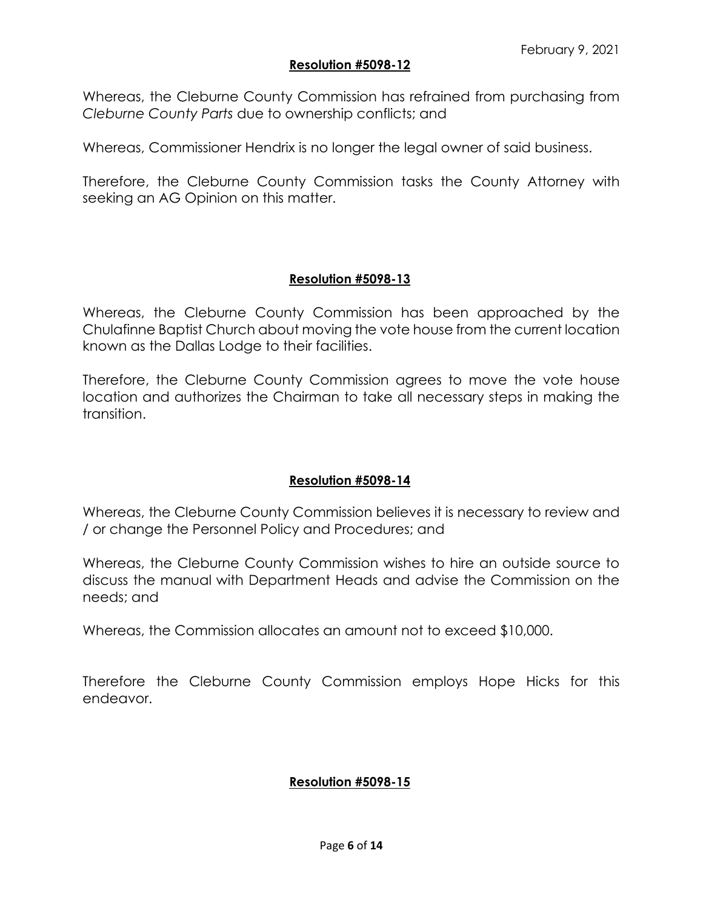### **Resolution #5098-12**

Whereas, the Cleburne County Commission has refrained from purchasing from *Cleburne County Parts* due to ownership conflicts; and

Whereas, Commissioner Hendrix is no longer the legal owner of said business.

Therefore, the Cleburne County Commission tasks the County Attorney with seeking an AG Opinion on this matter.

## **Resolution #5098-13**

Whereas, the Cleburne County Commission has been approached by the Chulafinne Baptist Church about moving the vote house from the current location known as the Dallas Lodge to their facilities.

Therefore, the Cleburne County Commission agrees to move the vote house location and authorizes the Chairman to take all necessary steps in making the transition.

### **Resolution #5098-14**

Whereas, the Cleburne County Commission believes it is necessary to review and / or change the Personnel Policy and Procedures; and

Whereas, the Cleburne County Commission wishes to hire an outside source to discuss the manual with Department Heads and advise the Commission on the needs; and

Whereas, the Commission allocates an amount not to exceed \$10,000.

Therefore the Cleburne County Commission employs Hope Hicks for this endeavor.

### **Resolution #5098-15**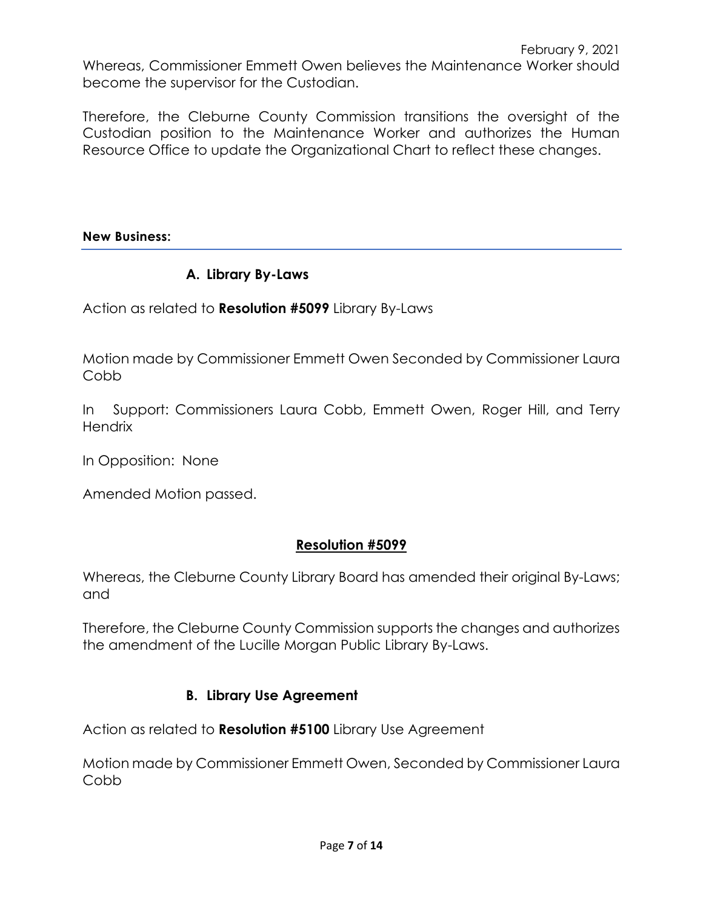Whereas, Commissioner Emmett Owen believes the Maintenance Worker should become the supervisor for the Custodian.

Therefore, the Cleburne County Commission transitions the oversight of the Custodian position to the Maintenance Worker and authorizes the Human Resource Office to update the Organizational Chart to reflect these changes.

**New Business:**

# **A. Library By-Laws**

Action as related to **Resolution #5099** Library By-Laws

Motion made by Commissioner Emmett Owen Seconded by Commissioner Laura Cobb

In Support: Commissioners Laura Cobb, Emmett Owen, Roger Hill, and Terry **Hendrix** 

In Opposition: None

Amended Motion passed.

# **Resolution #5099**

Whereas, the Cleburne County Library Board has amended their original By-Laws; and

Therefore, the Cleburne County Commission supports the changes and authorizes the amendment of the Lucille Morgan Public Library By-Laws.

# **B. Library Use Agreement**

Action as related to **Resolution #5100** Library Use Agreement

Motion made by Commissioner Emmett Owen, Seconded by Commissioner Laura Cobb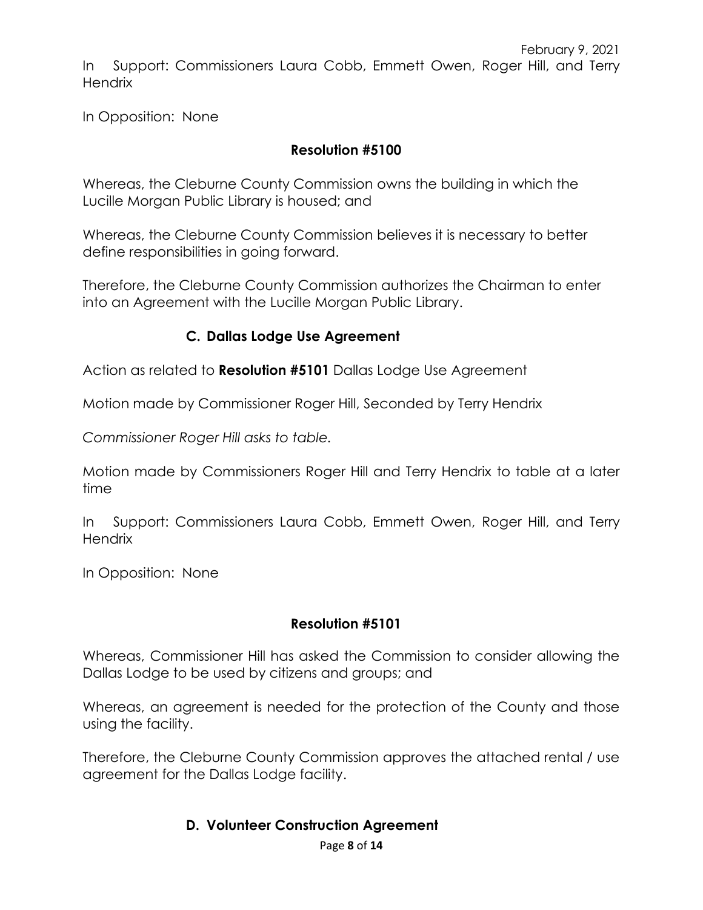In Support: Commissioners Laura Cobb, Emmett Owen, Roger Hill, and Terry **Hendrix** 

In Opposition: None

# **Resolution #5100**

Whereas, the Cleburne County Commission owns the building in which the Lucille Morgan Public Library is housed; and

Whereas, the Cleburne County Commission believes it is necessary to better define responsibilities in going forward.

Therefore, the Cleburne County Commission authorizes the Chairman to enter into an Agreement with the Lucille Morgan Public Library.

# **C. Dallas Lodge Use Agreement**

Action as related to **Resolution #5101** Dallas Lodge Use Agreement

Motion made by Commissioner Roger Hill, Seconded by Terry Hendrix

*Commissioner Roger Hill asks to table.*

Motion made by Commissioners Roger Hill and Terry Hendrix to table at a later time

In Support: Commissioners Laura Cobb, Emmett Owen, Roger Hill, and Terry Hendrix

In Opposition: None

## **Resolution #5101**

Whereas, Commissioner Hill has asked the Commission to consider allowing the Dallas Lodge to be used by citizens and groups; and

Whereas, an agreement is needed for the protection of the County and those using the facility.

Therefore, the Cleburne County Commission approves the attached rental / use agreement for the Dallas Lodge facility.

### **D. Volunteer Construction Agreement**

Page **8** of **14**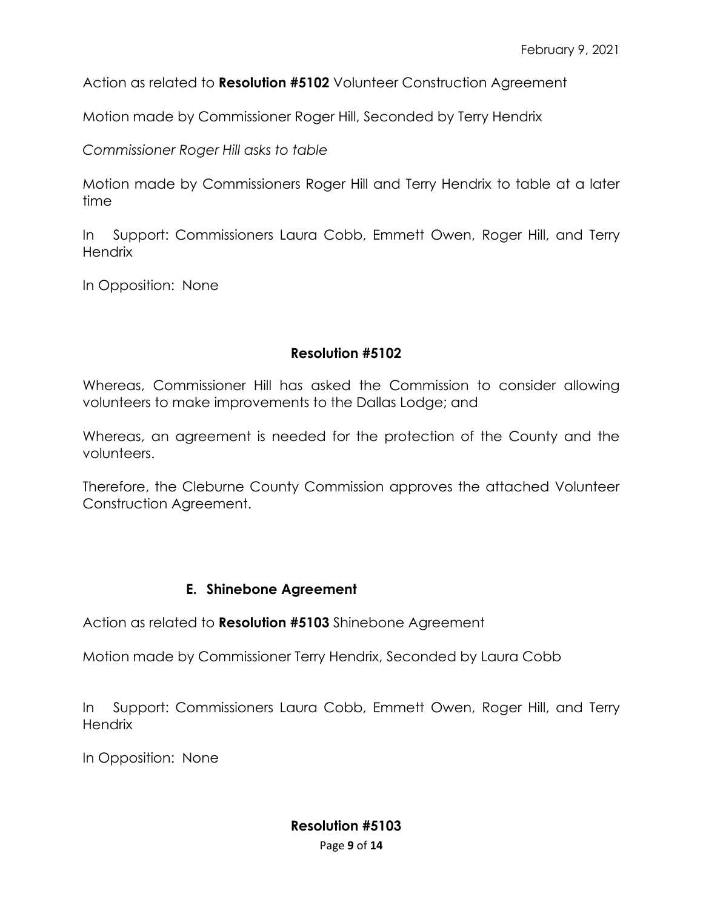Action as related to **Resolution #5102** Volunteer Construction Agreement

Motion made by Commissioner Roger Hill, Seconded by Terry Hendrix

*Commissioner Roger Hill asks to table* 

Motion made by Commissioners Roger Hill and Terry Hendrix to table at a later time

In Support: Commissioners Laura Cobb, Emmett Owen, Roger Hill, and Terry **Hendrix** 

In Opposition: None

## **Resolution #5102**

Whereas, Commissioner Hill has asked the Commission to consider allowing volunteers to make improvements to the Dallas Lodge; and

Whereas, an agreement is needed for the protection of the County and the volunteers.

Therefore, the Cleburne County Commission approves the attached Volunteer Construction Agreement.

### **E. Shinebone Agreement**

Action as related to **Resolution #5103** Shinebone Agreement

Motion made by Commissioner Terry Hendrix, Seconded by Laura Cobb

In Support: Commissioners Laura Cobb, Emmett Owen, Roger Hill, and Terry **Hendrix** 

In Opposition: None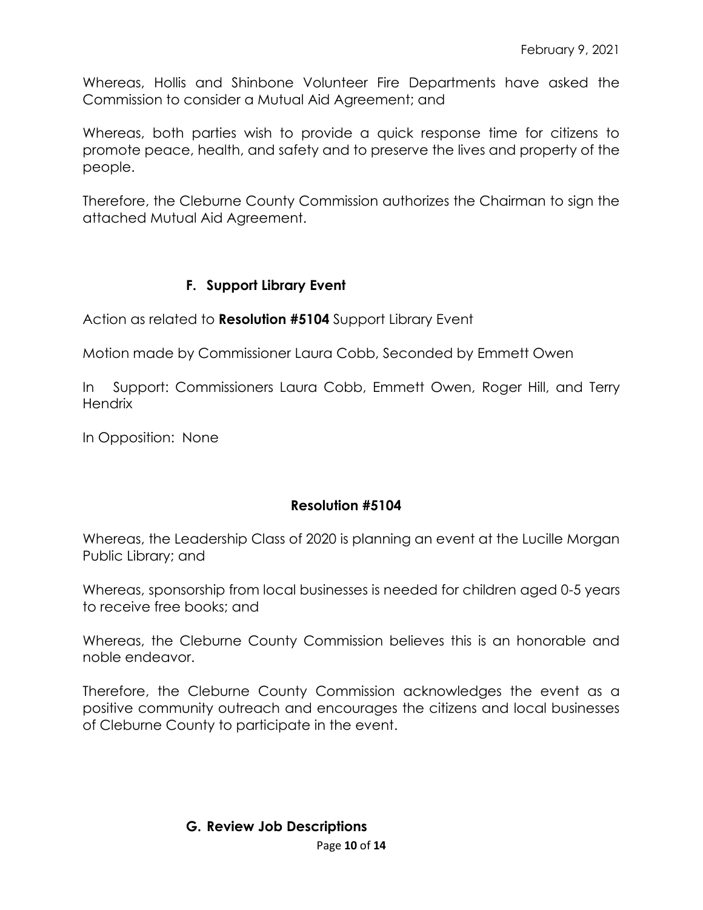Whereas, Hollis and Shinbone Volunteer Fire Departments have asked the Commission to consider a Mutual Aid Agreement; and

Whereas, both parties wish to provide a quick response time for citizens to promote peace, health, and safety and to preserve the lives and property of the people.

Therefore, the Cleburne County Commission authorizes the Chairman to sign the attached Mutual Aid Agreement.

# **F. Support Library Event**

Action as related to **Resolution #5104** Support Library Event

Motion made by Commissioner Laura Cobb, Seconded by Emmett Owen

In Support: Commissioners Laura Cobb, Emmett Owen, Roger Hill, and Terry **Hendrix** 

In Opposition: None

# **Resolution #5104**

Whereas, the Leadership Class of 2020 is planning an event at the Lucille Morgan Public Library; and

Whereas, sponsorship from local businesses is needed for children aged 0-5 years to receive free books; and

Whereas, the Cleburne County Commission believes this is an honorable and noble endeavor.

Therefore, the Cleburne County Commission acknowledges the event as a positive community outreach and encourages the citizens and local businesses of Cleburne County to participate in the event.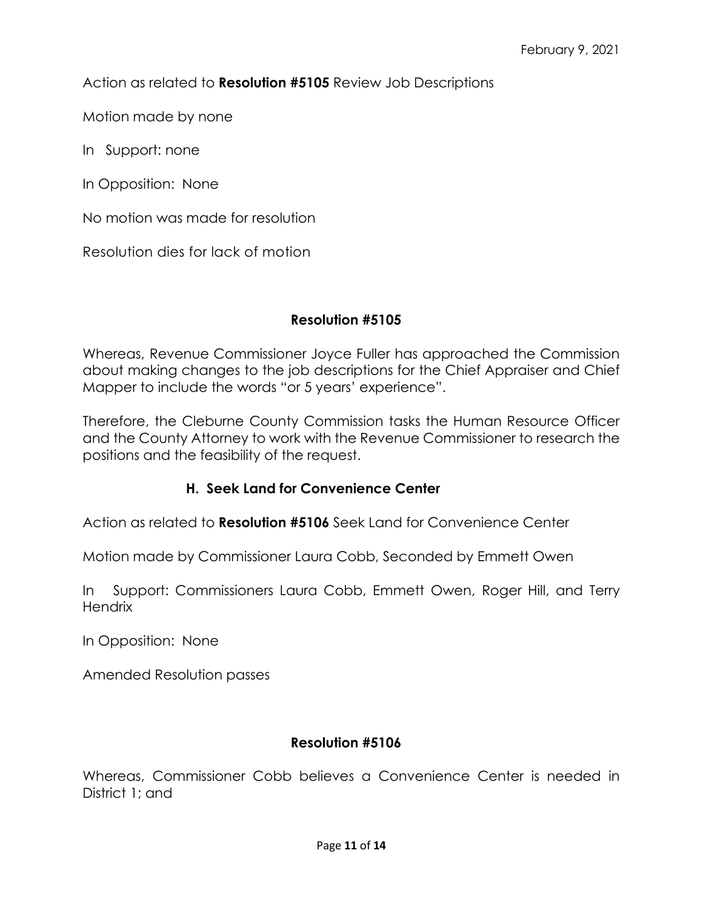Action as related to **Resolution #5105** Review Job Descriptions

Motion made by none

In Support: none

In Opposition: None

No motion was made for resolution

Resolution dies for lack of motion

### **Resolution #5105**

Whereas, Revenue Commissioner Joyce Fuller has approached the Commission about making changes to the job descriptions for the Chief Appraiser and Chief Mapper to include the words "or 5 years' experience".

Therefore, the Cleburne County Commission tasks the Human Resource Officer and the County Attorney to work with the Revenue Commissioner to research the positions and the feasibility of the request.

### **H. Seek Land for Convenience Center**

Action as related to **Resolution #5106** Seek Land for Convenience Center

Motion made by Commissioner Laura Cobb, Seconded by Emmett Owen

In Support: Commissioners Laura Cobb, Emmett Owen, Roger Hill, and Terry **Hendrix** 

In Opposition: None

Amended Resolution passes

### **Resolution #5106**

Whereas, Commissioner Cobb believes a Convenience Center is needed in District 1; and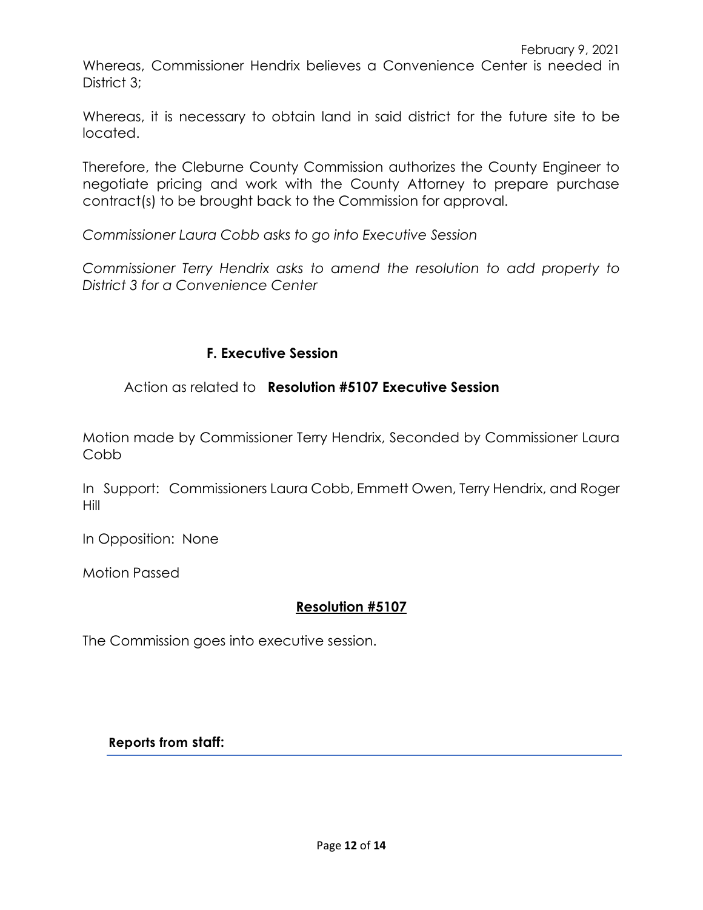Whereas, Commissioner Hendrix believes a Convenience Center is needed in District 3:

Whereas, it is necessary to obtain land in said district for the future site to be located.

Therefore, the Cleburne County Commission authorizes the County Engineer to negotiate pricing and work with the County Attorney to prepare purchase contract(s) to be brought back to the Commission for approval.

*Commissioner Laura Cobb asks to go into Executive Session*

*Commissioner Terry Hendrix asks to amend the resolution to add property to District 3 for a Convenience Center*

## **F. Executive Session**

Action as related to **Resolution #5107 Executive Session** 

Motion made by Commissioner Terry Hendrix, Seconded by Commissioner Laura Cobb

In Support: Commissioners Laura Cobb, Emmett Owen, Terry Hendrix, and Roger Hill

In Opposition: None

Motion Passed

### **Resolution #5107**

The Commission goes into executive session.

**Reports from staff:**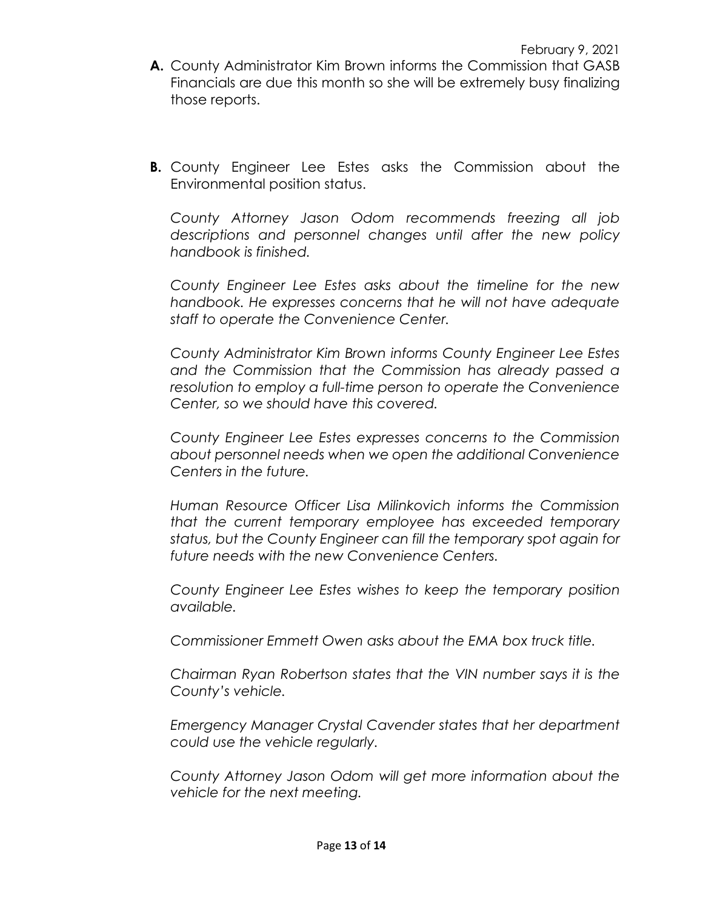- **A.** County Administrator Kim Brown informs the Commission that GASB Financials are due this month so she will be extremely busy finalizing those reports.
- **B.** County Engineer Lee Estes asks the Commission about the Environmental position status.

*County Attorney Jason Odom recommends freezing all job descriptions and personnel changes until after the new policy handbook is finished.*

*County Engineer Lee Estes asks about the timeline for the new handbook. He expresses concerns that he will not have adequate staff to operate the Convenience Center.*

*County Administrator Kim Brown informs County Engineer Lee Estes and the Commission that the Commission has already passed a resolution to employ a full-time person to operate the Convenience Center, so we should have this covered.*

*County Engineer Lee Estes expresses concerns to the Commission about personnel needs when we open the additional Convenience Centers in the future.*

*Human Resource Officer Lisa Milinkovich informs the Commission that the current temporary employee has exceeded temporary status, but the County Engineer can fill the temporary spot again for future needs with the new Convenience Centers.*

*County Engineer Lee Estes wishes to keep the temporary position available.*

*Commissioner Emmett Owen asks about the EMA box truck title.*

*Chairman Ryan Robertson states that the VIN number says it is the County's vehicle.*

*Emergency Manager Crystal Cavender states that her department could use the vehicle regularly.*

*County Attorney Jason Odom will get more information about the vehicle for the next meeting.*